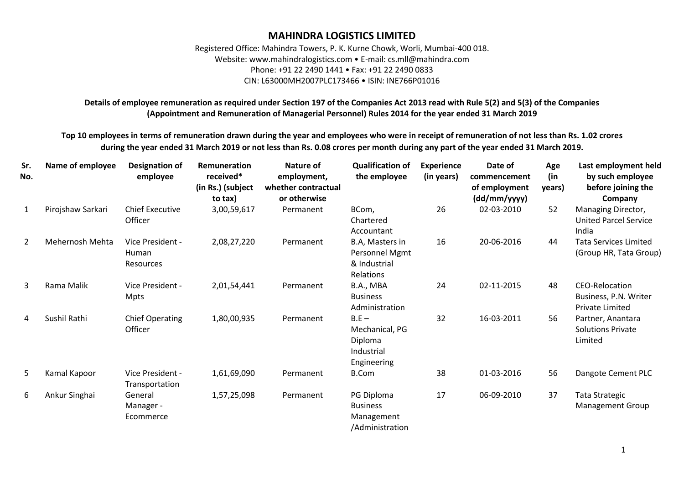## **MAHINDRA LOGISTICS LIMITED**

Registered Office: Mahindra Towers, P. K. Kurne Chowk, Worli, Mumbai-400 018. Website: www.mahindralogistics.com • E-mail: cs.mll@mahindra.com Phone: +91 22 2490 1441 • Fax: +91 22 2490 0833 CIN: L63000MH2007PLC173466 • ISIN: INE766P01016

**Details of employee remuneration as required under Section 197 of the Companies Act 2013 read with Rule 5(2) and 5(3) of the Companies (Appointment and Remuneration of Managerial Personnel) Rules 2014 for the year ended 31 March 2019**

**Top 10 employees in terms of remuneration drawn during the year and employees who were in receipt of remuneration of not less than Rs. 1.02 crores during the year ended 31 March 2019 or not less than Rs. 0.08 crores per month during any part of the year ended 31 March 2019.**

| Sr.<br>No.     | Name of employee  | <b>Designation of</b><br>employee             | Remuneration<br>received*<br>(in Rs.) (subject<br>to tax) | Nature of<br>employment,<br>whether contractual<br>or otherwise | <b>Qualification of</b><br>the employee                           | <b>Experience</b><br>(in years) | Date of<br>commencement<br>of employment<br>(dd/mm/yyyy) | Age<br>(in<br>years) | Last employment held<br>by such employee<br>before joining the<br>Company |
|----------------|-------------------|-----------------------------------------------|-----------------------------------------------------------|-----------------------------------------------------------------|-------------------------------------------------------------------|---------------------------------|----------------------------------------------------------|----------------------|---------------------------------------------------------------------------|
| 1              | Pirojshaw Sarkari | <b>Chief Executive</b><br>Officer             | 3,00,59,617                                               | Permanent                                                       | BCom,<br>Chartered<br>Accountant                                  | 26                              | 02-03-2010                                               | 52                   | Managing Director,<br><b>United Parcel Service</b><br>India               |
| $\overline{2}$ | Mehernosh Mehta   | Vice President -<br>Human<br><b>Resources</b> | 2,08,27,220                                               | Permanent                                                       | B.A, Masters in<br>Personnel Mgmt<br>& Industrial<br>Relations    | 16                              | 20-06-2016                                               | 44                   | <b>Tata Services Limited</b><br>(Group HR, Tata Group)                    |
| 3              | Rama Malik        | Vice President -<br><b>Mpts</b>               | 2,01,54,441                                               | Permanent                                                       | B.A., MBA<br><b>Business</b><br>Administration                    | 24                              | 02-11-2015                                               | 48                   | <b>CEO-Relocation</b><br>Business, P.N. Writer<br>Private Limited         |
| 4              | Sushil Rathi      | <b>Chief Operating</b><br>Officer             | 1,80,00,935                                               | Permanent                                                       | $B.E -$<br>Mechanical, PG<br>Diploma<br>Industrial<br>Engineering | 32                              | 16-03-2011                                               | 56                   | Partner, Anantara<br><b>Solutions Private</b><br>Limited                  |
| 5              | Kamal Kapoor      | Vice President -<br>Transportation            | 1,61,69,090                                               | Permanent                                                       | <b>B.Com</b>                                                      | 38                              | 01-03-2016                                               | 56                   | Dangote Cement PLC                                                        |
| 6              | Ankur Singhai     | General<br>Manager -<br>Ecommerce             | 1,57,25,098                                               | Permanent                                                       | PG Diploma<br><b>Business</b><br>Management<br>/Administration    | 17                              | 06-09-2010                                               | 37                   | <b>Tata Strategic</b><br><b>Management Group</b>                          |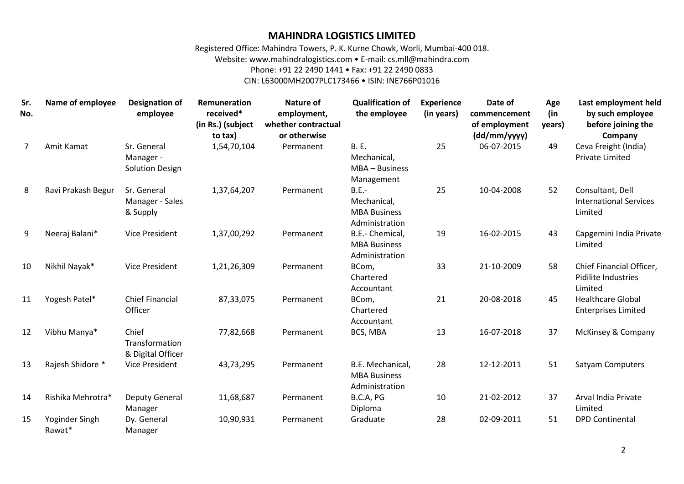## **MAHINDRA LOGISTICS LIMITED**

Registered Office: Mahindra Towers, P. K. Kurne Chowk, Worli, Mumbai-400 018. Website: www.mahindralogistics.com • E-mail: cs.mll@mahindra.com Phone: +91 22 2490 1441 • Fax: +91 22 2490 0833 CIN: L63000MH2007PLC173466 • ISIN: INE766P01016

**Sr. No. Name of employee Designation of employee Remuneration received\* (in Rs.) (subject to tax) Nature of employment, whether contractual or otherwise Qualification of the employee Experience (in years) Date of commencement of employment (dd/mm/yyyy) Age (in years) Last employment held by such employee before joining the Company** 7 Amit Kamat Sr. General Manager - Solution Design 1,54,70,104 Permanent B. E. Mechanical, MBA – Business Management 25 06-07-2015 49 Ceva Freight (India) Private Limited 8 Ravi Prakash Begur Sr. General Manager - Sales & Supply 1,37,64,207 Permanent B.E.- Mechanical, MBA Business Administration 25 10-04-2008 52 Consultant, Dell International Services Limited 9 Neeraj Balani\* Vice President 1,37,00,292 Permanent B.E.- Chemical, MBA Business Administration 19 16-02-2015 43 Capgemini India Private Limited 10 Nikhil Nayak\* Vice President 1,21,26,309 Permanent BCom, Chartered Accountant 33 21-10-2009 58 Chief Financial Officer, Pidilite Industries Limited 11 Yogesh Patel\* Chief Financial **Officer** 87,33,075 Permanent BCom, Chartered Accountant 21 20-08-2018 45 Healthcare Global Enterprises Limited 12 Vibhu Manya\* Chief Transformation & Digital Officer 77,82,668 Permanent BCS, MBA 13 16-07-2018 37 McKinsey & Company 13 Rajesh Shidore \* Vice President 43,73,295 Permanent B.E. Mechanical, MBA Business Administration 28 12-12-2011 51 Satyam Computers 14 Rishika Mehrotra\* Deputy General Manager 11,68,687 Permanent B.C.A, PG Diploma 10 21-02-2012 37 Arval India Private Limited 15 Yoginder Singh Rawat\* Dy. General Manager 10,90,931 Permanent Graduate 28 02-09-2011 51 DPD Continental